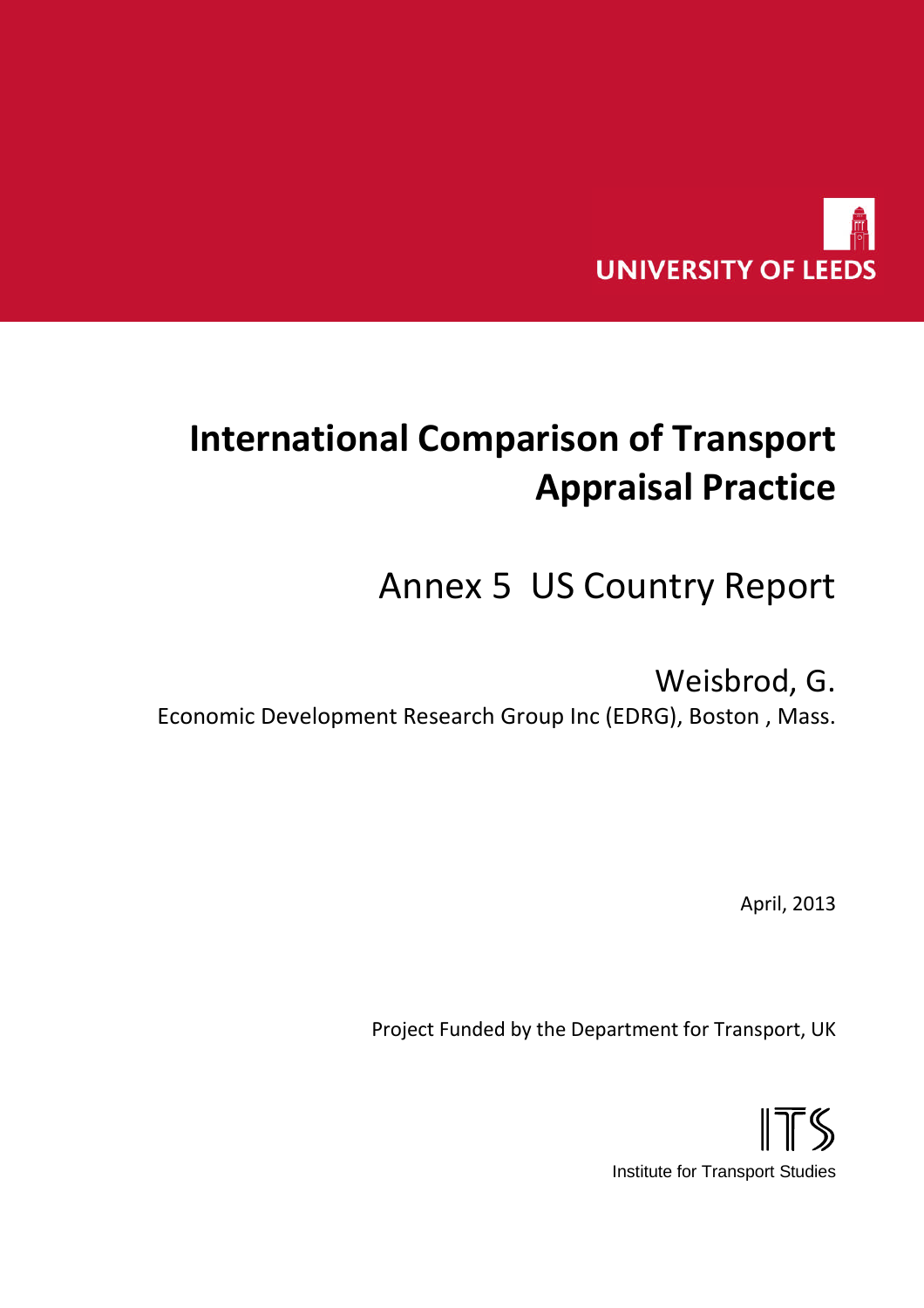

# **International Comparison of Transport Appraisal Practice**

# Annex 5 US Country Report

## Weisbrod, G.

Economic Development Research Group Inc (EDRG), Boston , Mass.

April, 2013

Project Funded by the Department for Transport, UK

ITS Institute for Transport Studies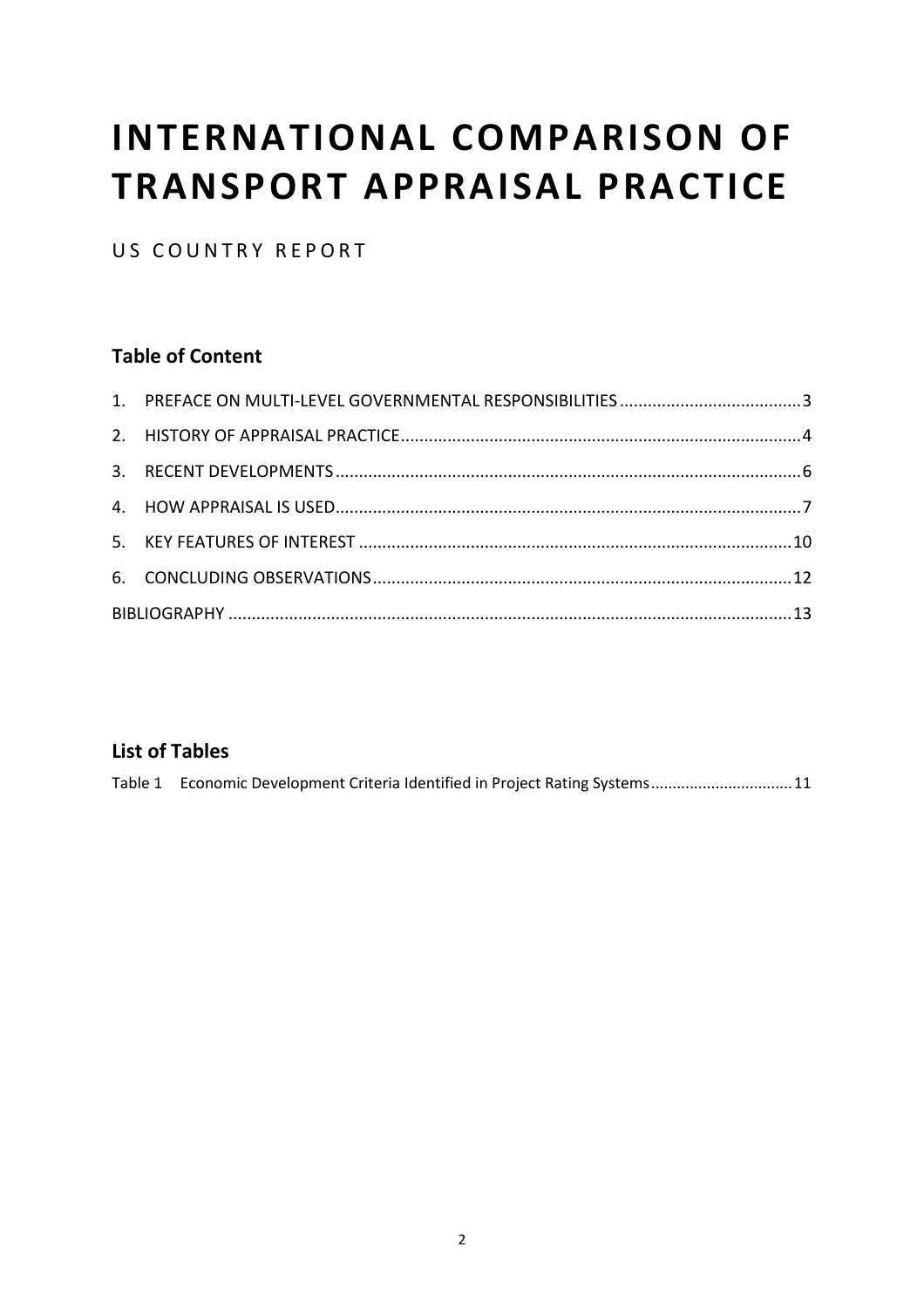# **INTERNATIONAL COMPARISON OF TRANSPORT APPRAISAL PRACTICE**

US COUNTRY REPORT

### **Table of Content**

#### **List of Tables**

|  |  | Table 1 Economic Development Criteria Identified in Project Rating Systems11 |  |
|--|--|------------------------------------------------------------------------------|--|
|  |  |                                                                              |  |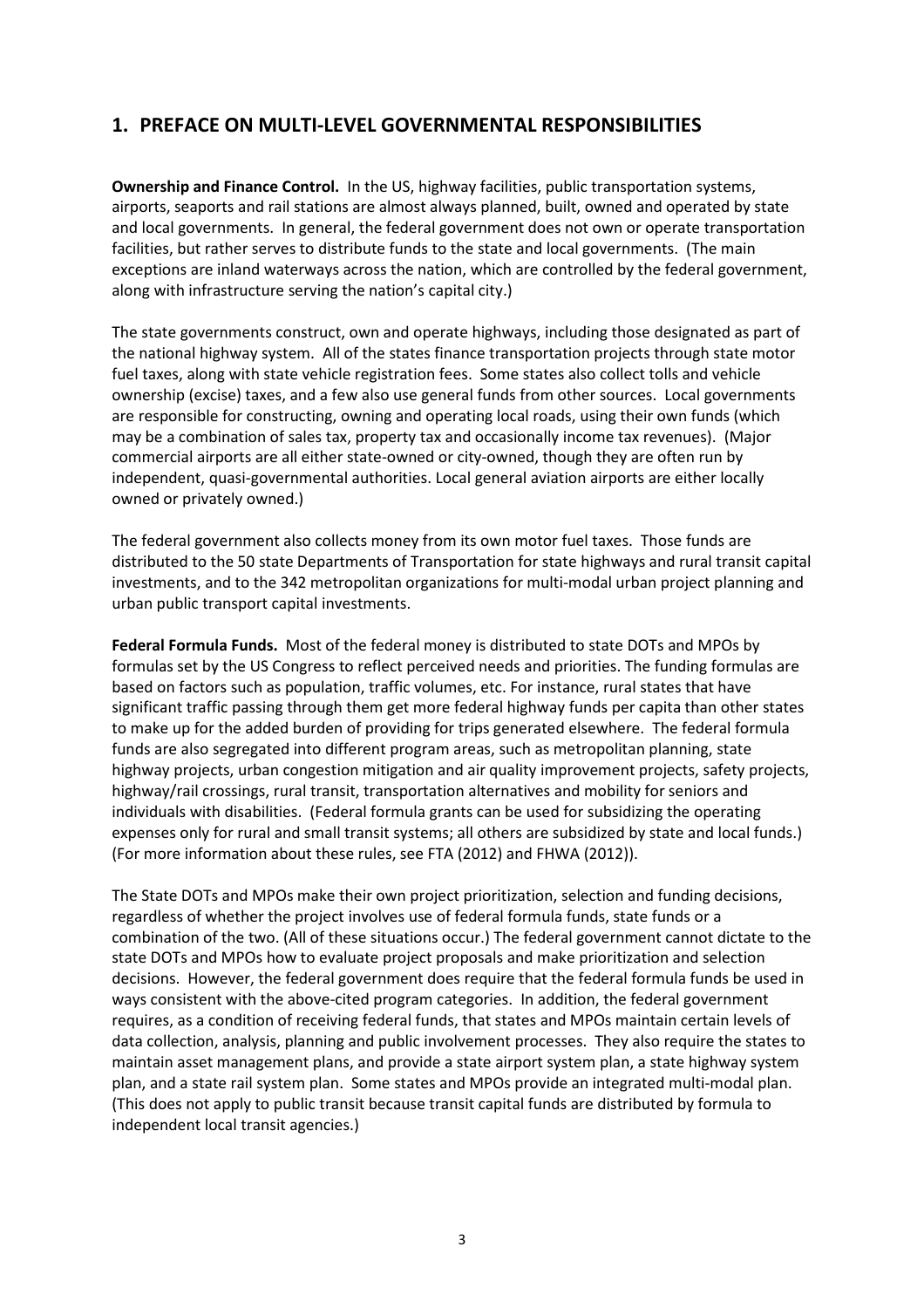#### <span id="page-2-0"></span>**1. PREFACE ON MULTI-LEVEL GOVERNMENTAL RESPONSIBILITIES**

**Ownership and Finance Control.** In the US, highway facilities, public transportation systems, airports, seaports and rail stations are almost always planned, built, owned and operated by state and local governments. In general, the federal government does not own or operate transportation facilities, but rather serves to distribute funds to the state and local governments. (The main exceptions are inland waterways across the nation, which are controlled by the federal government, along with infrastructure serving the nation's capital city.)

The state governments construct, own and operate highways, including those designated as part of the national highway system. All of the states finance transportation projects through state motor fuel taxes, along with state vehicle registration fees. Some states also collect tolls and vehicle ownership (excise) taxes, and a few also use general funds from other sources. Local governments are responsible for constructing, owning and operating local roads, using their own funds (which may be a combination of sales tax, property tax and occasionally income tax revenues). (Major commercial airports are all either state-owned or city-owned, though they are often run by independent, quasi-governmental authorities. Local general aviation airports are either locally owned or privately owned.)

The federal government also collects money from its own motor fuel taxes. Those funds are distributed to the 50 state Departments of Transportation for state highways and rural transit capital investments, and to the 342 metropolitan organizations for multi-modal urban project planning and urban public transport capital investments.

**Federal Formula Funds.** Most of the federal money is distributed to state DOTs and MPOs by formulas set by the US Congress to reflect perceived needs and priorities. The funding formulas are based on factors such as population, traffic volumes, etc. For instance, rural states that have significant traffic passing through them get more federal highway funds per capita than other states to make up for the added burden of providing for trips generated elsewhere. The federal formula funds are also segregated into different program areas, such as metropolitan planning, state highway projects, urban congestion mitigation and air quality improvement projects, safety projects, highway/rail crossings, rural transit, transportation alternatives and mobility for seniors and individuals with disabilities. (Federal formula grants can be used for subsidizing the operating expenses only for rural and small transit systems; all others are subsidized by state and local funds.) (For more information about these rules, see FTA (2012) and FHWA (2012)).

The State DOTs and MPOs make their own project prioritization, selection and funding decisions, regardless of whether the project involves use of federal formula funds, state funds or a combination of the two. (All of these situations occur.) The federal government cannot dictate to the state DOTs and MPOs how to evaluate project proposals and make prioritization and selection decisions. However, the federal government does require that the federal formula funds be used in ways consistent with the above-cited program categories. In addition, the federal government requires, as a condition of receiving federal funds, that states and MPOs maintain certain levels of data collection, analysis, planning and public involvement processes. They also require the states to maintain asset management plans, and provide a state airport system plan, a state highway system plan, and a state rail system plan. Some states and MPOs provide an integrated multi-modal plan. (This does not apply to public transit because transit capital funds are distributed by formula to independent local transit agencies.)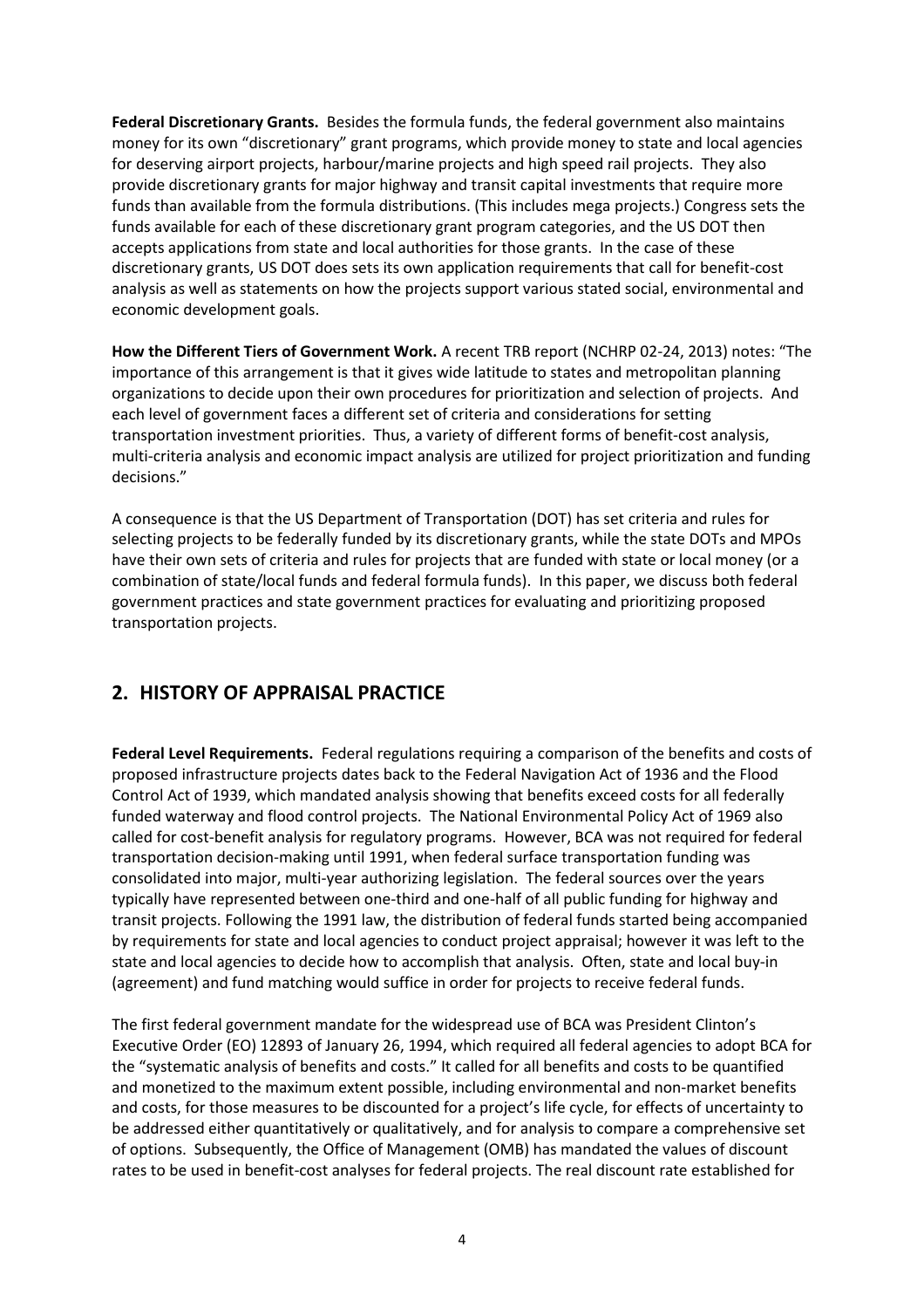<span id="page-3-0"></span>**Federal Discretionary Grants.** Besides the formula funds, the federal government also maintains money for its own "discretionary" grant programs, which provide money to state and local agencies for deserving airport projects, harbour/marine projects and high speed rail projects. They also provide discretionary grants for major highway and transit capital investments that require more funds than available from the formula distributions. (This includes mega projects.) Congress sets the funds available for each of these discretionary grant program categories, and the US DOT then accepts applications from state and local authorities for those grants. In the case of these discretionary grants, US DOT does sets its own application requirements that call for benefit-cost analysis as well as statements on how the projects support various stated social, environmental and economic development goals.

**How the Different Tiers of Government Work.** A recent TRB report (NCHRP 02-24, 2013) notes: "The importance of this arrangement is that it gives wide latitude to states and metropolitan planning organizations to decide upon their own procedures for prioritization and selection of projects. And each level of government faces a different set of criteria and considerations for setting transportation investment priorities. Thus, a variety of different forms of benefit-cost analysis, multi-criteria analysis and economic impact analysis are utilized for project prioritization and funding decisions."

A consequence is that the US Department of Transportation (DOT) has set criteria and rules for selecting projects to be federally funded by its discretionary grants, while the state DOTs and MPOs have their own sets of criteria and rules for projects that are funded with state or local money (or a combination of state/local funds and federal formula funds). In this paper, we discuss both federal government practices and state government practices for evaluating and prioritizing proposed transportation projects.

#### **2. HISTORY OF APPRAISAL PRACTICE**

**Federal Level Requirements.** Federal regulations requiring a comparison of the benefits and costs of proposed infrastructure projects dates back to the Federal Navigation Act of 1936 and the Flood Control Act of 1939, which mandated analysis showing that benefits exceed costs for all federally funded waterway and flood control projects. The National Environmental Policy Act of 1969 also called for cost-benefit analysis for regulatory programs. However, BCA was not required for federal transportation decision-making until 1991, when federal surface transportation funding was consolidated into major, multi-year authorizing legislation. The federal sources over the years typically have represented between one-third and one-half of all public funding for highway and transit projects. Following the 1991 law, the distribution of federal funds started being accompanied by requirements for state and local agencies to conduct project appraisal; however it was left to the state and local agencies to decide how to accomplish that analysis. Often, state and local buy-in (agreement) and fund matching would suffice in order for projects to receive federal funds.

The first federal government mandate for the widespread use of BCA was President Clinton's Executive Order (EO) 12893 of January 26, 1994, which required all federal agencies to adopt BCA for the "systematic analysis of benefits and costs." It called for all benefits and costs to be quantified and monetized to the maximum extent possible, including environmental and non-market benefits and costs, for those measures to be discounted for a project's life cycle, for effects of uncertainty to be addressed either quantitatively or qualitatively, and for analysis to compare a comprehensive set of options. Subsequently, the Office of Management (OMB) has mandated the values of discount rates to be used in benefit-cost analyses for federal projects. The real discount rate established for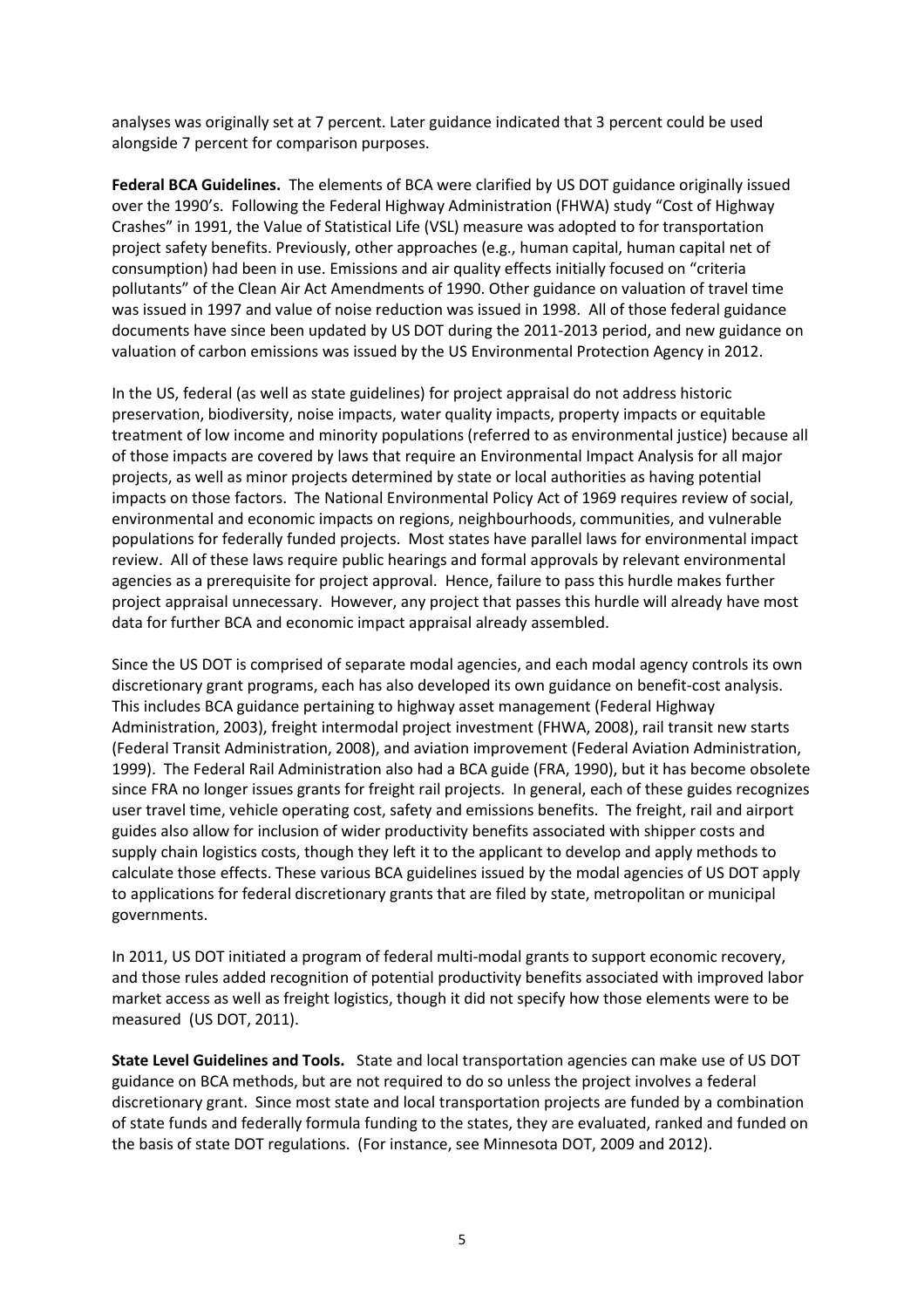analyses was originally set at 7 percent. Later guidance indicated that 3 percent could be used alongside 7 percent for comparison purposes.

**Federal BCA Guidelines.** The elements of BCA were clarified by US DOT guidance originally issued over the 1990's. Following the Federal Highway Administration (FHWA) study "Cost of Highway Crashes" in 1991, the Value of Statistical Life (VSL) measure was adopted to for transportation project safety benefits. Previously, other approaches (e.g., human capital, human capital net of consumption) had been in use. Emissions and air quality effects initially focused on "criteria pollutants" of the Clean Air Act Amendments of 1990. Other guidance on valuation of travel time was issued in 1997 and value of noise reduction was issued in 1998. All of those federal guidance documents have since been updated by US DOT during the 2011-2013 period, and new guidance on valuation of carbon emissions was issued by the US Environmental Protection Agency in 2012.

In the US, federal (as well as state guidelines) for project appraisal do not address historic preservation, biodiversity, noise impacts, water quality impacts, property impacts or equitable treatment of low income and minority populations (referred to as environmental justice) because all of those impacts are covered by laws that require an Environmental Impact Analysis for all major projects, as well as minor projects determined by state or local authorities as having potential impacts on those factors. The National Environmental Policy Act of 1969 requires review of social, environmental and economic impacts on regions, neighbourhoods, communities, and vulnerable populations for federally funded projects. Most states have parallel laws for environmental impact review. All of these laws require public hearings and formal approvals by relevant environmental agencies as a prerequisite for project approval. Hence, failure to pass this hurdle makes further project appraisal unnecessary. However, any project that passes this hurdle will already have most data for further BCA and economic impact appraisal already assembled.

Since the US DOT is comprised of separate modal agencies, and each modal agency controls its own discretionary grant programs, each has also developed its own guidance on benefit-cost analysis. This includes BCA guidance pertaining to highway asset management (Federal Highway Administration, 2003), freight intermodal project investment (FHWA, 2008), rail transit new starts (Federal Transit Administration, 2008), and aviation improvement (Federal Aviation Administration, 1999). The Federal Rail Administration also had a BCA guide (FRA, 1990), but it has become obsolete since FRA no longer issues grants for freight rail projects. In general, each of these guides recognizes user travel time, vehicle operating cost, safety and emissions benefits. The freight, rail and airport guides also allow for inclusion of wider productivity benefits associated with shipper costs and supply chain logistics costs, though they left it to the applicant to develop and apply methods to calculate those effects. These various BCA guidelines issued by the modal agencies of US DOT apply to applications for federal discretionary grants that are filed by state, metropolitan or municipal governments.

In 2011, US DOT initiated a program of federal multi-modal grants to support economic recovery, and those rules added recognition of potential productivity benefits associated with improved labor market access as well as freight logistics, though it did not specify how those elements were to be measured (US DOT, 2011).

**State Level Guidelines and Tools.** State and local transportation agencies can make use of US DOT guidance on BCA methods, but are not required to do so unless the project involves a federal discretionary grant. Since most state and local transportation projects are funded by a combination of state funds and federally formula funding to the states, they are evaluated, ranked and funded on the basis of state DOT regulations. (For instance, see Minnesota DOT, 2009 and 2012).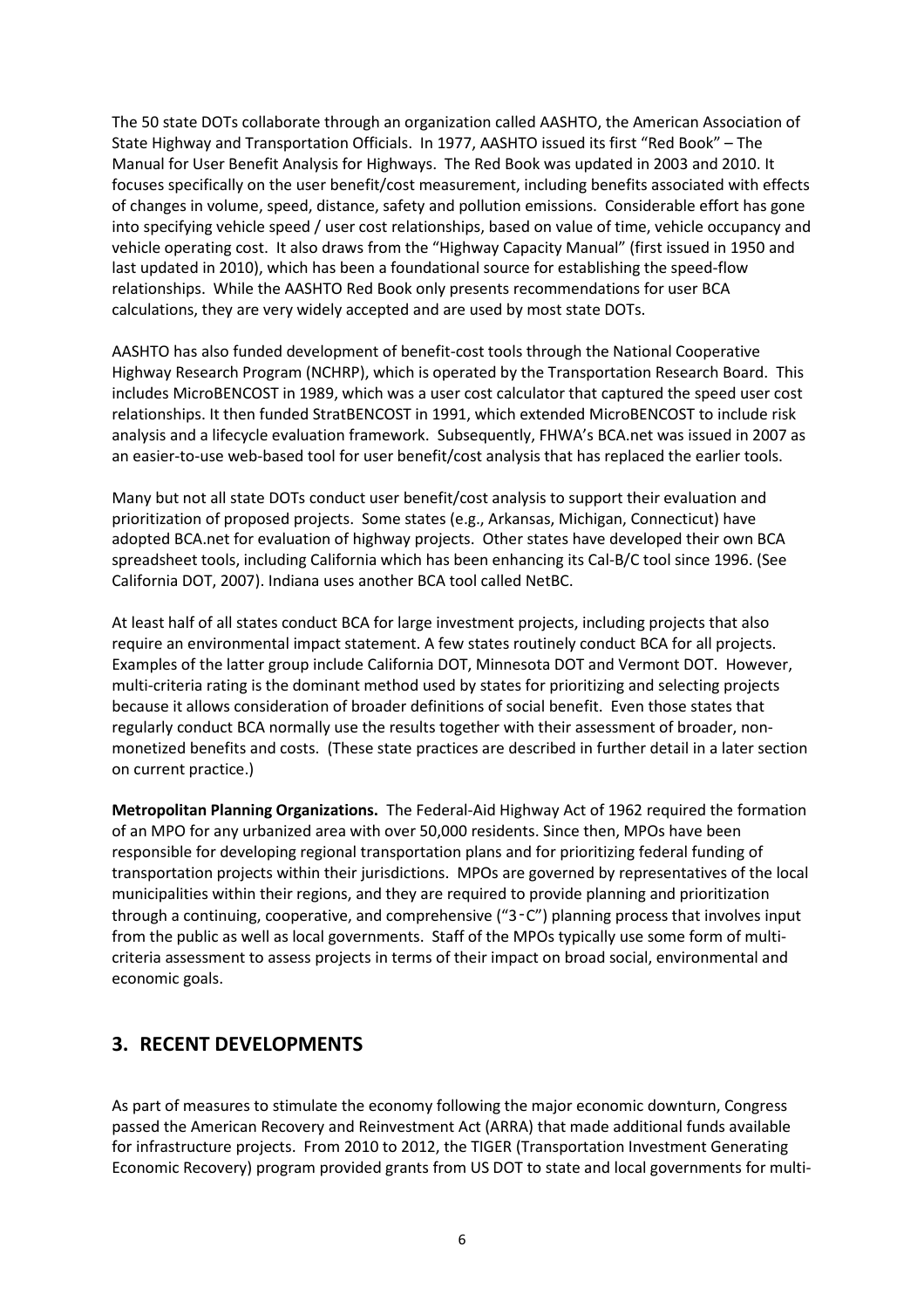<span id="page-5-0"></span>The 50 state DOTs collaborate through an organization called AASHTO, the American Association of State Highway and Transportation Officials. In 1977, AASHTO issued its first "Red Book" – The Manual for User Benefit Analysis for Highways. The Red Book was updated in 2003 and 2010. It focuses specifically on the user benefit/cost measurement, including benefits associated with effects of changes in volume, speed, distance, safety and pollution emissions. Considerable effort has gone into specifying vehicle speed / user cost relationships, based on value of time, vehicle occupancy and vehicle operating cost. It also draws from the "Highway Capacity Manual" (first issued in 1950 and last updated in 2010), which has been a foundational source for establishing the speed-flow relationships. While the AASHTO Red Book only presents recommendations for user BCA calculations, they are very widely accepted and are used by most state DOTs.

AASHTO has also funded development of benefit-cost tools through the National Cooperative Highway Research Program (NCHRP), which is operated by the Transportation Research Board. This includes MicroBENCOST in 1989, which was a user cost calculator that captured the speed user cost relationships. It then funded StratBENCOST in 1991, which extended MicroBENCOST to include risk analysis and a lifecycle evaluation framework. Subsequently, FHWA's BCA.net was issued in 2007 as an easier-to-use web-based tool for user benefit/cost analysis that has replaced the earlier tools.

Many but not all state DOTs conduct user benefit/cost analysis to support their evaluation and prioritization of proposed projects. Some states (e.g., Arkansas, Michigan, Connecticut) have adopted BCA.net for evaluation of highway projects. Other states have developed their own BCA spreadsheet tools, including California which has been enhancing its Cal-B/C tool since 1996. (See California DOT, 2007). Indiana uses another BCA tool called NetBC.

At least half of all states conduct BCA for large investment projects, including projects that also require an environmental impact statement. A few states routinely conduct BCA for all projects. Examples of the latter group include California DOT, Minnesota DOT and Vermont DOT. However, multi-criteria rating is the dominant method used by states for prioritizing and selecting projects because it allows consideration of broader definitions of social benefit. Even those states that regularly conduct BCA normally use the results together with their assessment of broader, nonmonetized benefits and costs. (These state practices are described in further detail in a later section on current practice.)

**Metropolitan Planning Organizations.** The Federal-Aid Highway Act of 1962 required the formation of an MPO for any urbanized area with over 50,000 residents. Since then, MPOs have been responsible for developing regional transportation plans and for prioritizing federal funding of transportation projects within their jurisdictions. MPOs are governed by representatives of the local municipalities within their regions, and they are required to provide planning and prioritization through a continuing, cooperative, and comprehensive  $("3-C")$  planning process that involves input from the public as well as local governments. Staff of the MPOs typically use some form of multicriteria assessment to assess projects in terms of their impact on broad social, environmental and economic goals.

#### **3. RECENT DEVELOPMENTS**

As part of measures to stimulate the economy following the major economic downturn, Congress passed the American Recovery and Reinvestment Act (ARRA) that made additional funds available for infrastructure projects. From 2010 to 2012, the TIGER (Transportation Investment Generating Economic Recovery) program provided grants from US DOT to state and local governments for multi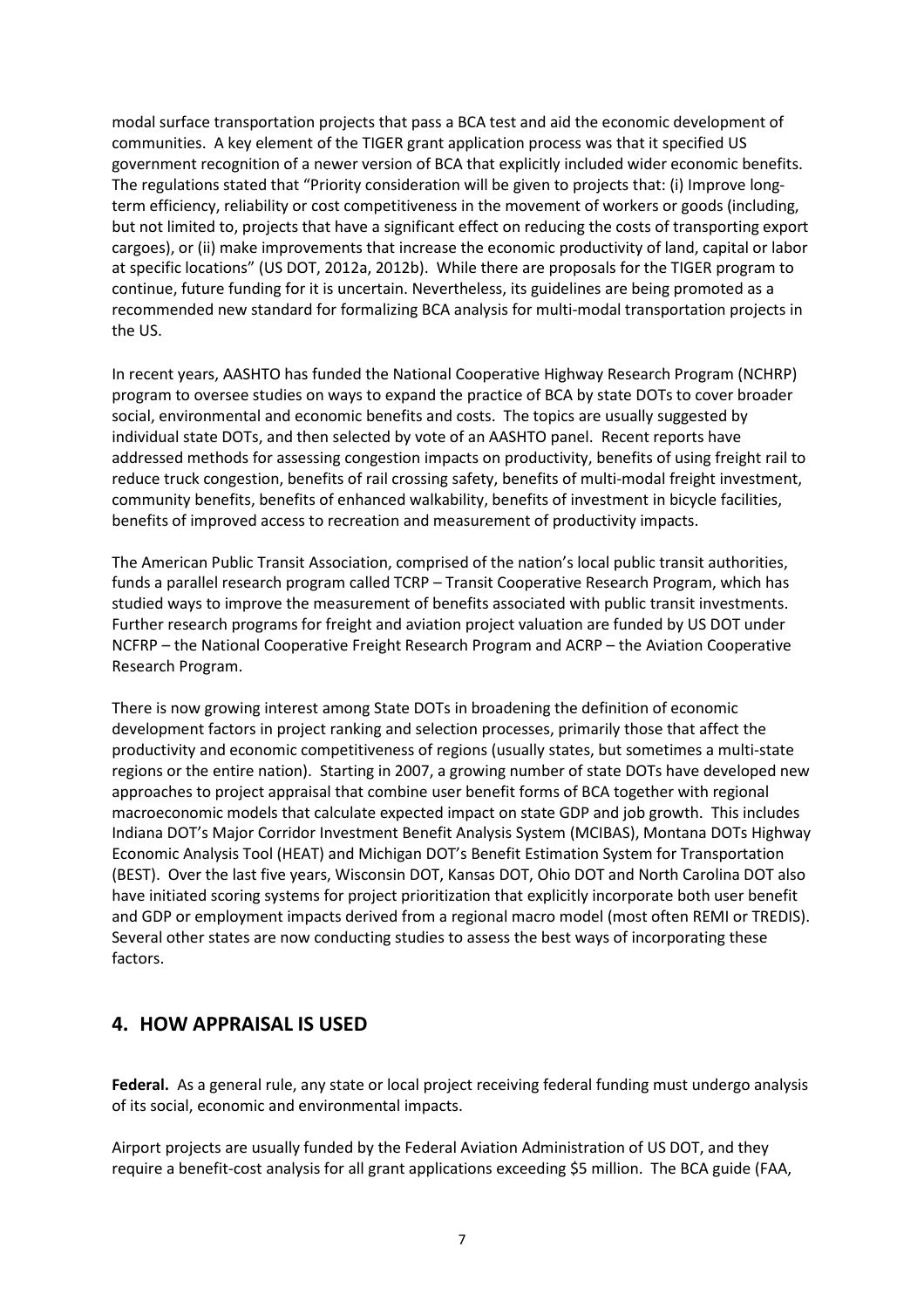<span id="page-6-0"></span>modal surface transportation projects that pass a BCA test and aid the economic development of communities. A key element of the TIGER grant application process was that it specified US government recognition of a newer version of BCA that explicitly included wider economic benefits. The regulations stated that "Priority consideration will be given to projects that: (i) Improve longterm efficiency, reliability or cost competitiveness in the movement of workers or goods (including, but not limited to, projects that have a significant effect on reducing the costs of transporting export cargoes), or (ii) make improvements that increase the economic productivity of land, capital or labor at specific locations" (US DOT, 2012a, 2012b). While there are proposals for the TIGER program to continue, future funding for it is uncertain. Nevertheless, its guidelines are being promoted as a recommended new standard for formalizing BCA analysis for multi-modal transportation projects in the US.

In recent years, AASHTO has funded the National Cooperative Highway Research Program (NCHRP) program to oversee studies on ways to expand the practice of BCA by state DOTs to cover broader social, environmental and economic benefits and costs. The topics are usually suggested by individual state DOTs, and then selected by vote of an AASHTO panel. Recent reports have addressed methods for assessing congestion impacts on productivity, benefits of using freight rail to reduce truck congestion, benefits of rail crossing safety, benefits of multi-modal freight investment, community benefits, benefits of enhanced walkability, benefits of investment in bicycle facilities, benefits of improved access to recreation and measurement of productivity impacts.

The American Public Transit Association, comprised of the nation's local public transit authorities, funds a parallel research program called TCRP – Transit Cooperative Research Program, which has studied ways to improve the measurement of benefits associated with public transit investments. Further research programs for freight and aviation project valuation are funded by US DOT under NCFRP – the National Cooperative Freight Research Program and ACRP – the Aviation Cooperative Research Program.

There is now growing interest among State DOTs in broadening the definition of economic development factors in project ranking and selection processes, primarily those that affect the productivity and economic competitiveness of regions (usually states, but sometimes a multi-state regions or the entire nation). Starting in 2007, a growing number of state DOTs have developed new approaches to project appraisal that combine user benefit forms of BCA together with regional macroeconomic models that calculate expected impact on state GDP and job growth. This includes Indiana DOT's Major Corridor Investment Benefit Analysis System (MCIBAS), Montana DOTs Highway Economic Analysis Tool (HEAT) and Michigan DOT's Benefit Estimation System for Transportation (BEST). Over the last five years, Wisconsin DOT, Kansas DOT, Ohio DOT and North Carolina DOT also have initiated scoring systems for project prioritization that explicitly incorporate both user benefit and GDP or employment impacts derived from a regional macro model (most often REMI or TREDIS). Several other states are now conducting studies to assess the best ways of incorporating these factors.

#### **4. HOW APPRAISAL IS USED**

**Federal.** As a general rule, any state or local project receiving federal funding must undergo analysis of its social, economic and environmental impacts.

Airport projects are usually funded by the Federal Aviation Administration of US DOT, and they require a benefit-cost analysis for all grant applications exceeding \$5 million. The BCA guide (FAA,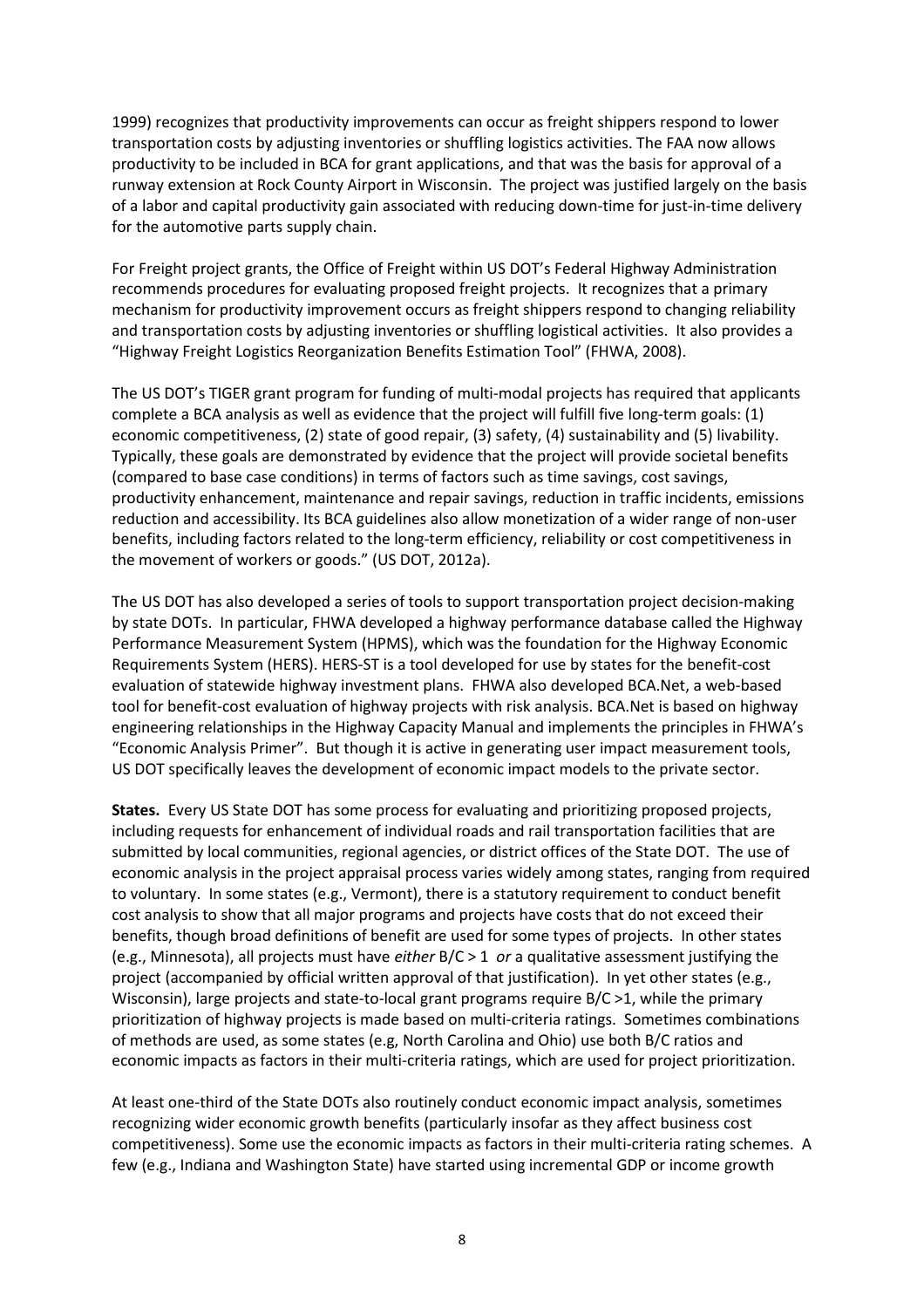1999) recognizes that productivity improvements can occur as freight shippers respond to lower transportation costs by adjusting inventories or shuffling logistics activities. The FAA now allows productivity to be included in BCA for grant applications, and that was the basis for approval of a runway extension at Rock County Airport in Wisconsin. The project was justified largely on the basis of a labor and capital productivity gain associated with reducing down-time for just-in-time delivery for the automotive parts supply chain.

For Freight project grants, the Office of Freight within US DOT's Federal Highway Administration recommends procedures for evaluating proposed freight projects. It recognizes that a primary mechanism for productivity improvement occurs as freight shippers respond to changing reliability and transportation costs by adjusting inventories or shuffling logistical activities. It also provides a "Highway Freight Logistics Reorganization Benefits Estimation Tool" (FHWA, 2008).

The US DOT's TIGER grant program for funding of multi-modal projects has required that applicants complete a BCA analysis as well as evidence that the project will fulfill five long-term goals: (1) economic competitiveness, (2) state of good repair, (3) safety, (4) sustainability and (5) livability. Typically, these goals are demonstrated by evidence that the project will provide societal benefits (compared to base case conditions) in terms of factors such as time savings, cost savings, productivity enhancement, maintenance and repair savings, reduction in traffic incidents, emissions reduction and accessibility. Its BCA guidelines also allow monetization of a wider range of non-user benefits, including factors related to the long-term efficiency, reliability or cost competitiveness in the movement of workers or goods." (US DOT, 2012a).

The US DOT has also developed a series of tools to support transportation project decision-making by state DOTs. In particular, FHWA developed a highway performance database called the Highway Performance Measurement System (HPMS), which was the foundation for the Highway Economic Requirements System (HERS). HERS-ST is a tool developed for use by states for the benefit-cost evaluation of statewide highway investment plans. FHWA also developed BCA.Net, a web-based tool for benefit-cost evaluation of highway projects with risk analysis. BCA.Net is based on highway engineering relationships in the Highway Capacity Manual and implements the principles in FHWA's "Economic Analysis Primer". But though it is active in generating user impact measurement tools, US DOT specifically leaves the development of economic impact models to the private sector.

**States.** Every US State DOT has some process for evaluating and prioritizing proposed projects, including requests for enhancement of individual roads and rail transportation facilities that are submitted by local communities, regional agencies, or district offices of the State DOT. The use of economic analysis in the project appraisal process varies widely among states, ranging from required to voluntary. In some states (e.g., Vermont), there is a statutory requirement to conduct benefit cost analysis to show that all major programs and projects have costs that do not exceed their benefits, though broad definitions of benefit are used for some types of projects. In other states (e.g., Minnesota), all projects must have *either* B/C > 1 *or* a qualitative assessment justifying the project (accompanied by official written approval of that justification). In yet other states (e.g., Wisconsin), large projects and state-to-local grant programs require B/C  $>1$ , while the primary prioritization of highway projects is made based on multi-criteria ratings. Sometimes combinations of methods are used, as some states (e.g, North Carolina and Ohio) use both B/C ratios and economic impacts as factors in their multi-criteria ratings, which are used for project prioritization.

At least one-third of the State DOTs also routinely conduct economic impact analysis, sometimes recognizing wider economic growth benefits (particularly insofar as they affect business cost competitiveness). Some use the economic impacts as factors in their multi-criteria rating schemes. A few (e.g., Indiana and Washington State) have started using incremental GDP or income growth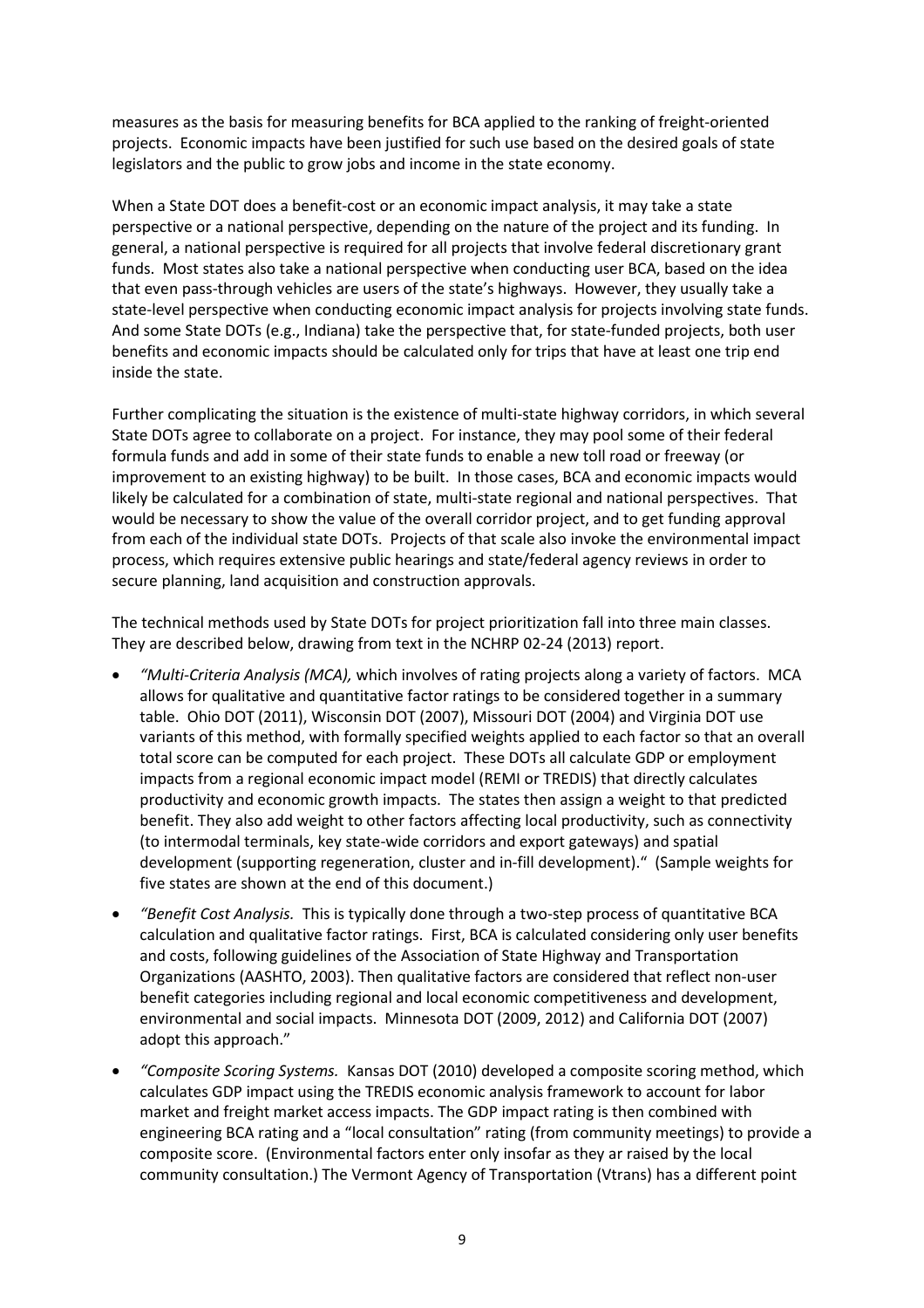measures as the basis for measuring benefits for BCA applied to the ranking of freight-oriented projects. Economic impacts have been justified for such use based on the desired goals of state legislators and the public to grow jobs and income in the state economy.

When a State DOT does a benefit-cost or an economic impact analysis, it may take a state perspective or a national perspective, depending on the nature of the project and its funding. In general, a national perspective is required for all projects that involve federal discretionary grant funds. Most states also take a national perspective when conducting user BCA, based on the idea that even pass-through vehicles are users of the state's highways. However, they usually take a state-level perspective when conducting economic impact analysis for projects involving state funds. And some State DOTs (e.g., Indiana) take the perspective that, for state-funded projects, both user benefits and economic impacts should be calculated only for trips that have at least one trip end inside the state.

Further complicating the situation is the existence of multi-state highway corridors, in which several State DOTs agree to collaborate on a project. For instance, they may pool some of their federal formula funds and add in some of their state funds to enable a new toll road or freeway (or improvement to an existing highway) to be built. In those cases, BCA and economic impacts would likely be calculated for a combination of state, multi-state regional and national perspectives. That would be necessary to show the value of the overall corridor project, and to get funding approval from each of the individual state DOTs. Projects of that scale also invoke the environmental impact process, which requires extensive public hearings and state/federal agency reviews in order to secure planning, land acquisition and construction approvals.

The technical methods used by State DOTs for project prioritization fall into three main classes. They are described below, drawing from text in the NCHRP 02-24 (2013) report.

- *"Multi-Criteria Analysis (MCA),* which involves of rating projects along a variety of factors. MCA allows for qualitative and quantitative factor ratings to be considered together in a summary table. Ohio DOT (2011), Wisconsin DOT (2007), Missouri DOT (2004) and Virginia DOT use variants of this method, with formally specified weights applied to each factor so that an overall total score can be computed for each project. These DOTs all calculate GDP or employment impacts from a regional economic impact model (REMI or TREDIS) that directly calculates productivity and economic growth impacts. The states then assign a weight to that predicted benefit. They also add weight to other factors affecting local productivity, such as connectivity (to intermodal terminals, key state-wide corridors and export gateways) and spatial development (supporting regeneration, cluster and in-fill development)." (Sample weights for five states are shown at the end of this document.)
- *"Benefit Cost Analysis.* This is typically done through a two-step process of quantitative BCA calculation and qualitative factor ratings. First, BCA is calculated considering only user benefits and costs, following guidelines of the Association of State Highway and Transportation Organizations (AASHTO, 2003). Then qualitative factors are considered that reflect non-user benefit categories including regional and local economic competitiveness and development, environmental and social impacts. Minnesota DOT (2009, 2012) and California DOT (2007) adopt this approach."
- *"Composite Scoring Systems.* Kansas DOT (2010) developed a composite scoring method, which calculates GDP impact using the TREDIS economic analysis framework to account for labor market and freight market access impacts. The GDP impact rating is then combined with engineering BCA rating and a "local consultation" rating (from community meetings) to provide a composite score. (Environmental factors enter only insofar as they ar raised by the local community consultation.) The Vermont Agency of Transportation (Vtrans) has a different point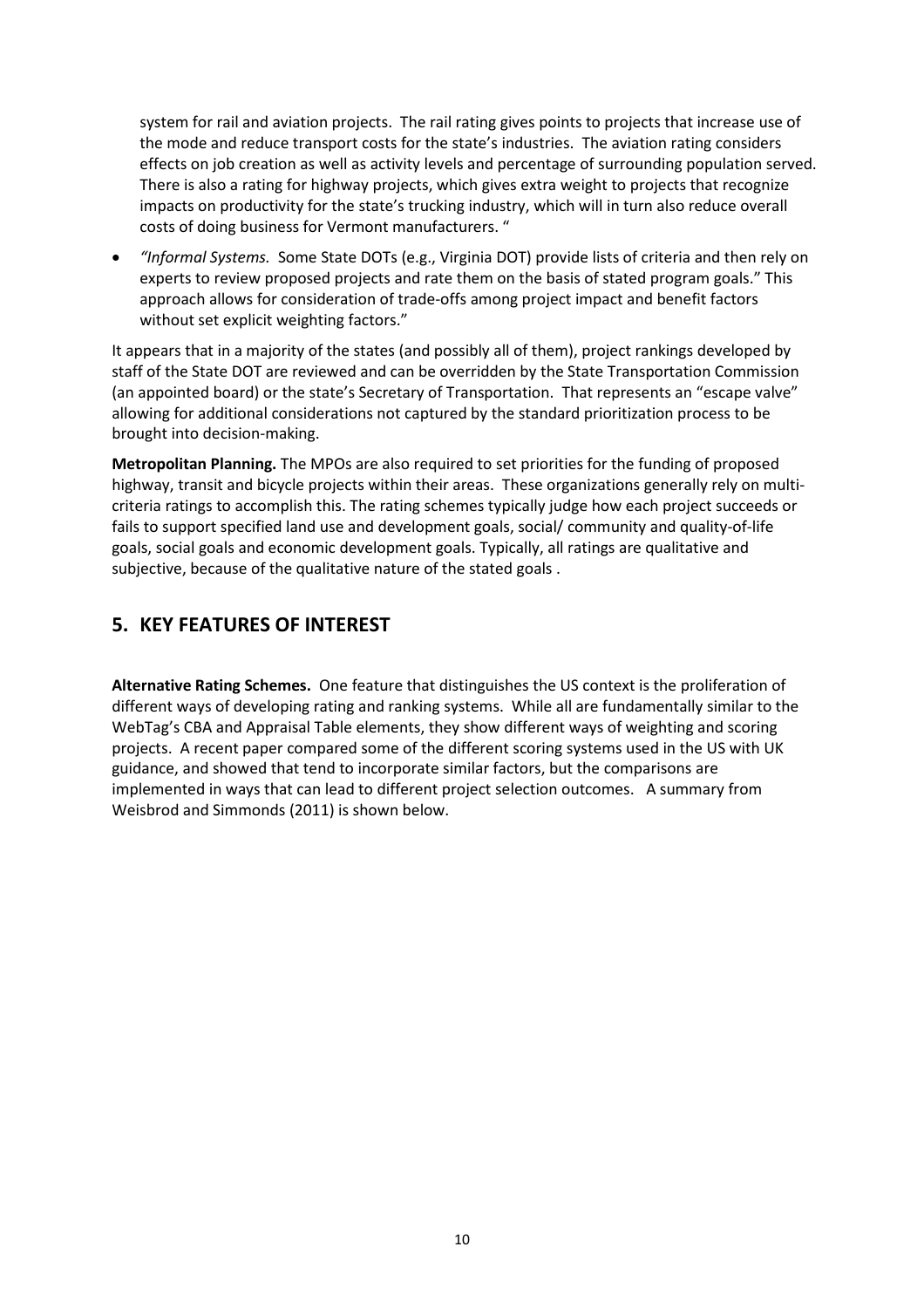<span id="page-9-0"></span>system for rail and aviation projects. The rail rating gives points to projects that increase use of the mode and reduce transport costs for the state's industries. The aviation rating considers effects on job creation as well as activity levels and percentage of surrounding population served. There is also a rating for highway projects, which gives extra weight to projects that recognize impacts on productivity for the state's trucking industry, which will in turn also reduce overall costs of doing business for Vermont manufacturers. "

 *"Informal Systems.* Some State DOTs (e.g., Virginia DOT) provide lists of criteria and then rely on experts to review proposed projects and rate them on the basis of stated program goals." This approach allows for consideration of trade-offs among project impact and benefit factors without set explicit weighting factors."

It appears that in a majority of the states (and possibly all of them), project rankings developed by staff of the State DOT are reviewed and can be overridden by the State Transportation Commission (an appointed board) or the state's Secretary of Transportation. That represents an "escape valve" allowing for additional considerations not captured by the standard prioritization process to be brought into decision-making.

**Metropolitan Planning.** The MPOs are also required to set priorities for the funding of proposed highway, transit and bicycle projects within their areas. These organizations generally rely on multicriteria ratings to accomplish this. The rating schemes typically judge how each project succeeds or fails to support specified land use and development goals, social/ community and quality-of-life goals, social goals and economic development goals. Typically, all ratings are qualitative and subjective, because of the qualitative nature of the stated goals .

### **5. KEY FEATURES OF INTEREST**

**Alternative Rating Schemes.** One feature that distinguishes the US context is the proliferation of different ways of developing rating and ranking systems. While all are fundamentally similar to the WebTag's CBA and Appraisal Table elements, they show different ways of weighting and scoring projects. A recent paper compared some of the different scoring systems used in the US with UK guidance, and showed that tend to incorporate similar factors, but the comparisons are implemented in ways that can lead to different project selection outcomes. A summary from Weisbrod and Simmonds (2011) is shown below.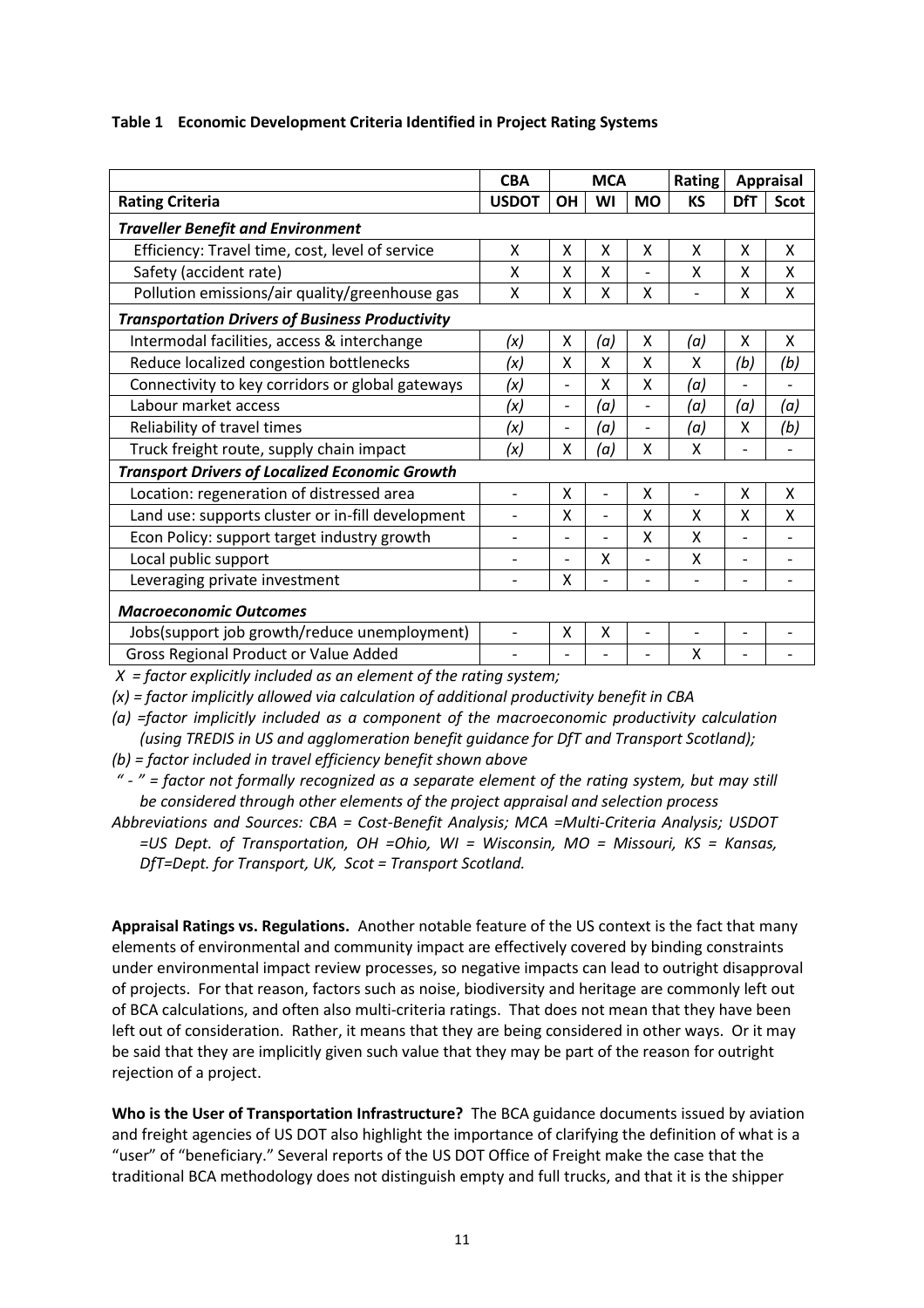#### **Table 1 Economic Development Criteria Identified in Project Rating Systems**

|                                                        | <b>CBA</b>               | <b>MCA</b>               |                | Rating                   | <b>Appraisal</b> |                          |             |  |  |  |
|--------------------------------------------------------|--------------------------|--------------------------|----------------|--------------------------|------------------|--------------------------|-------------|--|--|--|
| <b>Rating Criteria</b>                                 |                          | <b>OH</b>                | WI             | <b>MO</b>                | <b>KS</b>        | <b>DfT</b>               | <b>Scot</b> |  |  |  |
| <b>Traveller Benefit and Environment</b>               |                          |                          |                |                          |                  |                          |             |  |  |  |
| Efficiency: Travel time, cost, level of service        | Χ                        | X                        | X              | X                        | X                | X                        | X           |  |  |  |
| Safety (accident rate)                                 | x                        | x                        | X              |                          | x                | x                        | X           |  |  |  |
| Pollution emissions/air quality/greenhouse gas         | X                        | X                        | X              | Χ                        |                  | X                        | X           |  |  |  |
| <b>Transportation Drivers of Business Productivity</b> |                          |                          |                |                          |                  |                          |             |  |  |  |
| Intermodal facilities, access & interchange            | (x)                      | Χ                        | (a)            | Χ                        | (a)              | Χ                        | X           |  |  |  |
| Reduce localized congestion bottlenecks                | (x)                      | X                        | X              | X                        | x                | (b)                      | (b)         |  |  |  |
| Connectivity to key corridors or global gateways       | (x)                      | $\overline{\phantom{a}}$ | X              | X                        | (a)              |                          |             |  |  |  |
| Labour market access                                   | (x)                      | $\overline{a}$           | (a)            | $\overline{\phantom{0}}$ | (a)              | (a)                      | (a)         |  |  |  |
| Reliability of travel times                            | (x)                      | $\overline{a}$           | (a)            | $\overline{a}$           | (a)              | X                        | (b)         |  |  |  |
| Truck freight route, supply chain impact               | (x)                      | X                        | (a)            | X                        | X                |                          |             |  |  |  |
| <b>Transport Drivers of Localized Economic Growth</b>  |                          |                          |                |                          |                  |                          |             |  |  |  |
| Location: regeneration of distressed area              | $\overline{\phantom{0}}$ | Χ                        | ٠              | x                        |                  | X                        | X           |  |  |  |
| Land use: supports cluster or in-fill development      | $\overline{\phantom{0}}$ | X                        | $\overline{a}$ | x                        | x                | x                        | X           |  |  |  |
| Econ Policy: support target industry growth            | $\overline{\phantom{0}}$ | $\overline{a}$           | $\overline{a}$ | x                        | x                |                          |             |  |  |  |
| Local public support                                   | $\overline{\phantom{0}}$ | $\overline{a}$           | X              | $\overline{a}$           | X                |                          |             |  |  |  |
| Leveraging private investment                          |                          | X                        |                |                          |                  |                          |             |  |  |  |
| <b>Macroeconomic Outcomes</b>                          |                          |                          |                |                          |                  |                          |             |  |  |  |
| Jobs(support job growth/reduce unemployment)           | $\overline{\phantom{0}}$ | X                        | X              | $\overline{a}$           |                  | $\overline{\phantom{0}}$ |             |  |  |  |
| Gross Regional Product or Value Added                  |                          |                          |                |                          | Χ                |                          |             |  |  |  |

*X = factor explicitly included as an element of the rating system;* 

*(x) = factor implicitly allowed via calculation of additional productivity benefit in CBA* 

*(a) =factor implicitly included as a component of the macroeconomic productivity calculation (using TREDIS in US and agglomeration benefit guidance for DfT and Transport Scotland);* 

*(b) = factor included in travel efficiency benefit shown above* 

*" - " = factor not formally recognized as a separate element of the rating system, but may still be considered through other elements of the project appraisal and selection process* 

*Abbreviations and Sources: CBA = Cost-Benefit Analysis; MCA =Multi-Criteria Analysis; USDOT =US Dept. of Transportation, OH =Ohio, WI = Wisconsin, MO = Missouri, KS = Kansas, DfT=Dept. for Transport, UK, Scot = Transport Scotland.* 

**Appraisal Ratings vs. Regulations.** Another notable feature of the US context is the fact that many elements of environmental and community impact are effectively covered by binding constraints under environmental impact review processes, so negative impacts can lead to outright disapproval of projects. For that reason, factors such as noise, biodiversity and heritage are commonly left out of BCA calculations, and often also multi-criteria ratings. That does not mean that they have been left out of consideration. Rather, it means that they are being considered in other ways. Or it may be said that they are implicitly given such value that they may be part of the reason for outright rejection of a project.

**Who is the User of Transportation Infrastructure?** The BCA guidance documents issued by aviation and freight agencies of US DOT also highlight the importance of clarifying the definition of what is a "user" of "beneficiary." Several reports of the US DOT Office of Freight make the case that the traditional BCA methodology does not distinguish empty and full trucks, and that it is the shipper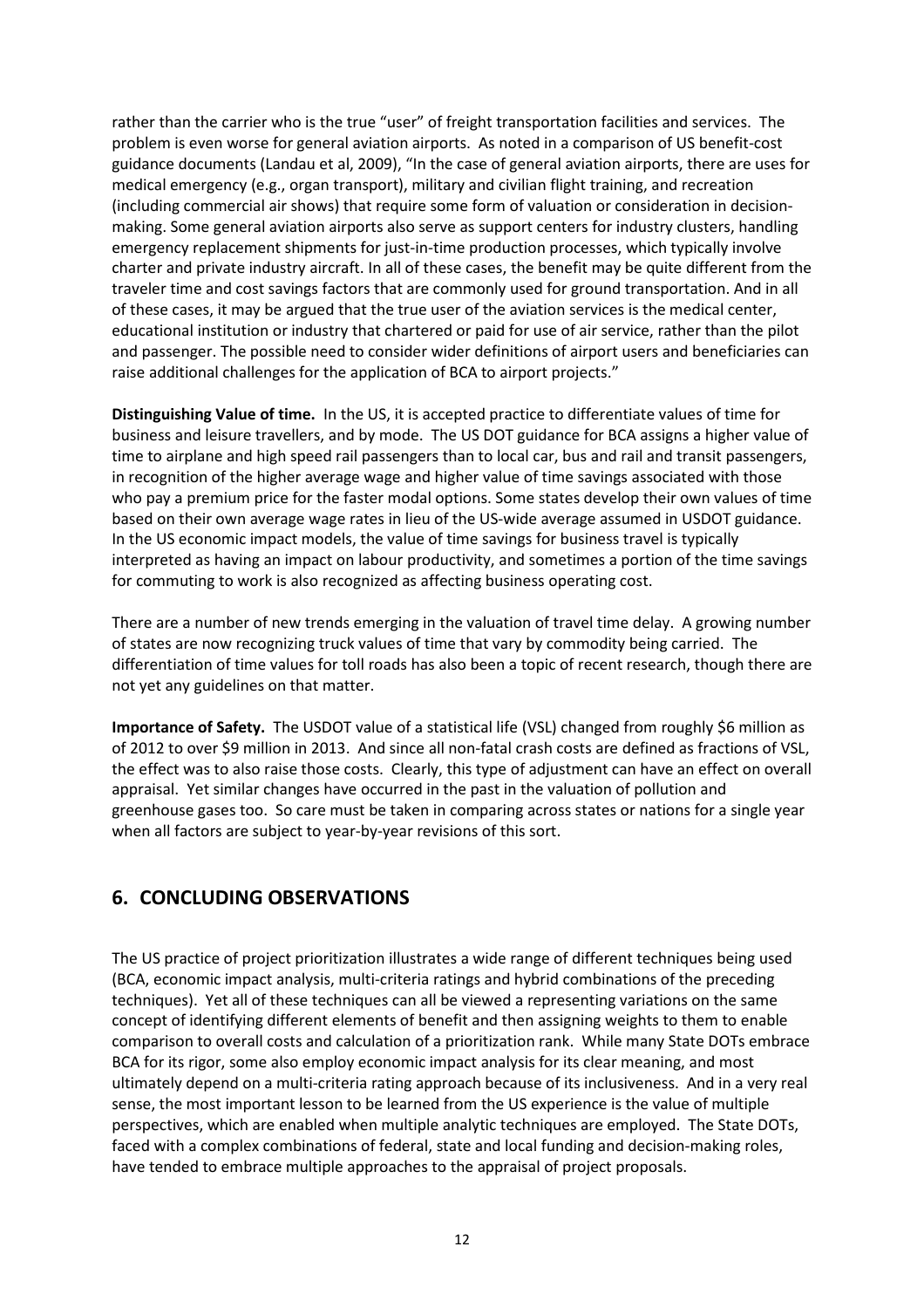<span id="page-11-0"></span>rather than the carrier who is the true "user" of freight transportation facilities and services. The problem is even worse for general aviation airports. As noted in a comparison of US benefit-cost guidance documents (Landau et al, 2009), "In the case of general aviation airports, there are uses for medical emergency (e.g., organ transport), military and civilian flight training, and recreation (including commercial air shows) that require some form of valuation or consideration in decisionmaking. Some general aviation airports also serve as support centers for industry clusters, handling emergency replacement shipments for just-in-time production processes, which typically involve charter and private industry aircraft. In all of these cases, the benefit may be quite different from the traveler time and cost savings factors that are commonly used for ground transportation. And in all of these cases, it may be argued that the true user of the aviation services is the medical center, educational institution or industry that chartered or paid for use of air service, rather than the pilot and passenger. The possible need to consider wider definitions of airport users and beneficiaries can raise additional challenges for the application of BCA to airport projects."

**Distinguishing Value of time.** In the US, it is accepted practice to differentiate values of time for business and leisure travellers, and by mode. The US DOT guidance for BCA assigns a higher value of time to airplane and high speed rail passengers than to local car, bus and rail and transit passengers, in recognition of the higher average wage and higher value of time savings associated with those who pay a premium price for the faster modal options. Some states develop their own values of time based on their own average wage rates in lieu of the US-wide average assumed in USDOT guidance. In the US economic impact models, the value of time savings for business travel is typically interpreted as having an impact on labour productivity, and sometimes a portion of the time savings for commuting to work is also recognized as affecting business operating cost.

There are a number of new trends emerging in the valuation of travel time delay. A growing number of states are now recognizing truck values of time that vary by commodity being carried. The differentiation of time values for toll roads has also been a topic of recent research, though there are not yet any guidelines on that matter.

**Importance of Safety.** The USDOT value of a statistical life (VSL) changed from roughly \$6 million as of 2012 to over \$9 million in 2013. And since all non-fatal crash costs are defined as fractions of VSL, the effect was to also raise those costs. Clearly, this type of adjustment can have an effect on overall appraisal. Yet similar changes have occurred in the past in the valuation of pollution and greenhouse gases too. So care must be taken in comparing across states or nations for a single year when all factors are subject to year-by-year revisions of this sort.

### **6. CONCLUDING OBSERVATIONS**

The US practice of project prioritization illustrates a wide range of different techniques being used (BCA, economic impact analysis, multi-criteria ratings and hybrid combinations of the preceding techniques). Yet all of these techniques can all be viewed a representing variations on the same concept of identifying different elements of benefit and then assigning weights to them to enable comparison to overall costs and calculation of a prioritization rank. While many State DOTs embrace BCA for its rigor, some also employ economic impact analysis for its clear meaning, and most ultimately depend on a multi-criteria rating approach because of its inclusiveness. And in a very real sense, the most important lesson to be learned from the US experience is the value of multiple perspectives, which are enabled when multiple analytic techniques are employed. The State DOTs, faced with a complex combinations of federal, state and local funding and decision-making roles, have tended to embrace multiple approaches to the appraisal of project proposals.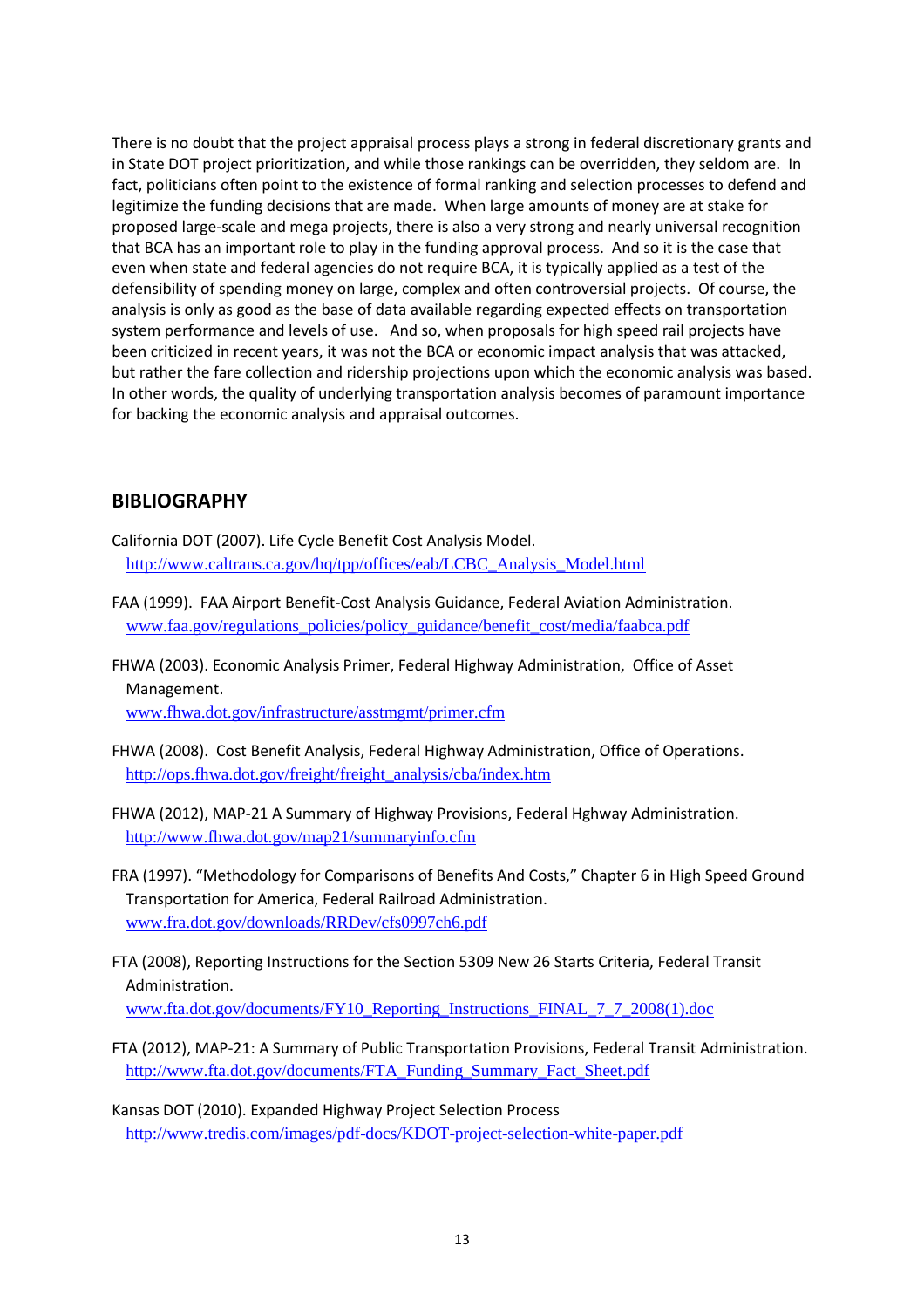<span id="page-12-0"></span>There is no doubt that the project appraisal process plays a strong in federal discretionary grants and in State DOT project prioritization, and while those rankings can be overridden, they seldom are. In fact, politicians often point to the existence of formal ranking and selection processes to defend and legitimize the funding decisions that are made. When large amounts of money are at stake for proposed large-scale and mega projects, there is also a very strong and nearly universal recognition that BCA has an important role to play in the funding approval process. And so it is the case that even when state and federal agencies do not require BCA, it is typically applied as a test of the defensibility of spending money on large, complex and often controversial projects. Of course, the analysis is only as good as the base of data available regarding expected effects on transportation system performance and levels of use. And so, when proposals for high speed rail projects have been criticized in recent years, it was not the BCA or economic impact analysis that was attacked, but rather the fare collection and ridership projections upon which the economic analysis was based. In other words, the quality of underlying transportation analysis becomes of paramount importance for backing the economic analysis and appraisal outcomes.

#### **BIBLIOGRAPHY**

- California DOT (2007). Life Cycle Benefit Cost Analysis Model. http://www.caltrans.ca.gov/hq/tpp/offices/eab/LCBC\_Analysis\_Model.html
- FAA (1999). FAA Airport Benefit-Cost Analysis Guidance, Federal Aviation Administration. www.faa.gov/regulations\_policies/policy\_guidance/benefit\_cost/media/faabca.pdf
- FHWA (2003). Economic Analysis Primer, Federal Highway Administration, Office of Asset Management.

www.fhwa.dot.gov/infrastructure/asstmgmt/primer.cfm

- FHWA (2008). Cost Benefit Analysis, Federal Highway Administration, Office of Operations. http://ops.fhwa.dot.gov/freight/freight\_analysis/cba/index.htm
- FHWA (2012), MAP-21 A Summary of Highway Provisions, Federal Hghway Administration. http://www.fhwa.dot.gov/map21/summaryinfo.cfm
- FRA (1997). "Methodology for Comparisons of Benefits And Costs," Chapter 6 in High Speed Ground Transportation for America, Federal Railroad Administration. www.fra.dot.gov/downloads/RRDev/cfs0997ch6.pdf
- FTA (2008), Reporting Instructions for the Section 5309 New 26 Starts Criteria, Federal Transit Administration. www.fta.dot.gov/documents/FY10\_Reporting\_Instructions\_FINAL\_7\_7\_2008(1).doc
- FTA (2012), MAP-21: A Summary of Public Transportation Provisions, Federal Transit Administration. http://www.fta.dot.gov/documents/FTA\_Funding\_Summary\_Fact\_Sheet.pdf
- Kansas DOT (2010). Expanded Highway Project Selection Process http://www.tredis.com/images/pdf-docs/KDOT-project-selection-white-paper.pdf